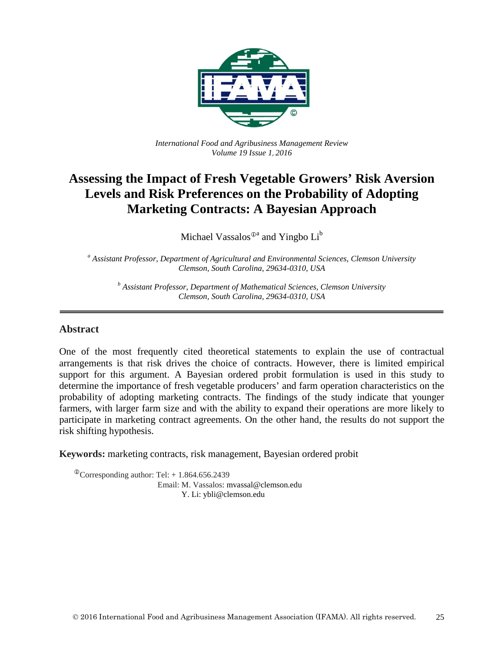

*International Food and Agribusiness Management Review Volume 19 Issue 1*, *2016*

# **Assessing the Impact of Fresh Vegetable Growers' Risk Aversion Levels and Risk Preferences on the Probability of Adopting Marketing Contracts: A Bayesian Approach**

Michael Vassalos<sup> $\mathbb{D}^a$ </sup> and Yingbo  $Li^b$ 

*<sup>a</sup> Assistant Professor, Department of Agricultural and Environmental Sciences, Clemson University Clemson, South Carolina, 29634-0310, USA*

*<sup>b</sup> Assistant Professor, Department of Mathematical Sciences, Clemson University Clemson, South Carolina, 29634-0310, USA*

#### **Abstract**

One of the most frequently cited theoretical statements to explain the use of contractual arrangements is that risk drives the choice of contracts. However, there is limited empirical support for this argument. A Bayesian ordered probit formulation is used in this study to determine the importance of fresh vegetable producers' and farm operation characteristics on the probability of adopting marketing contracts. The findings of the study indicate that younger farmers, with larger farm size and with the ability to expand their operations are more likely to participate in marketing contract agreements. On the other hand, the results do not support the risk shifting hypothesis.

**Keywords:** marketing contracts, risk management, Bayesian ordered probit

 $^{\circ}$ Corresponding author: Tel: + 1.864.656.2439 Email: M. Vassalos: mvassal@clemson.edu Y. Li: ybli@clemson.edu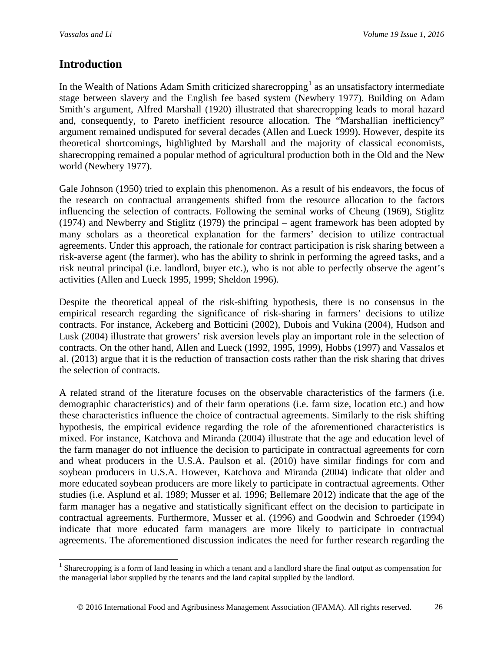# **Introduction**

In the Wealth of Nations Adam Smith criticized sharecropping<sup>[1](#page-1-0)</sup> as an unsatisfactory intermediate stage between slavery and the English fee based system (Newbery 1977). Building on Adam Smith's argument, Alfred Marshall (1920) illustrated that sharecropping leads to moral hazard and, consequently, to Pareto inefficient resource allocation. The "Marshallian inefficiency" argument remained undisputed for several decades (Allen and Lueck 1999). However, despite its theoretical shortcomings, highlighted by Marshall and the majority of classical economists, sharecropping remained a popular method of agricultural production both in the Old and the New world (Newbery 1977).

Gale Johnson (1950) tried to explain this phenomenon. As a result of his endeavors, the focus of the research on contractual arrangements shifted from the resource allocation to the factors influencing the selection of contracts. Following the seminal works of Cheung (1969), Stiglitz (1974) and Newberry and Stiglitz (1979) the principal – agent framework has been adopted by many scholars as a theoretical explanation for the farmers' decision to utilize contractual agreements. Under this approach, the rationale for contract participation is risk sharing between a risk-averse agent (the farmer), who has the ability to shrink in performing the agreed tasks, and a risk neutral principal (i.e. landlord, buyer etc.), who is not able to perfectly observe the agent's activities (Allen and Lueck 1995, 1999; Sheldon 1996).

Despite the theoretical appeal of the risk-shifting hypothesis, there is no consensus in the empirical research regarding the significance of risk-sharing in farmers' decisions to utilize contracts. For instance, Ackeberg and Botticini (2002), Dubois and Vukina (2004), Hudson and Lusk (2004) illustrate that growers' risk aversion levels play an important role in the selection of contracts. On the other hand, Allen and Lueck (1992, 1995, 1999), Hobbs (1997) and Vassalos et al. (2013) argue that it is the reduction of transaction costs rather than the risk sharing that drives the selection of contracts.

A related strand of the literature focuses on the observable characteristics of the farmers (i.e. demographic characteristics) and of their farm operations (i.e. farm size, location etc.) and how these characteristics influence the choice of contractual agreements. Similarly to the risk shifting hypothesis, the empirical evidence regarding the role of the aforementioned characteristics is mixed. For instance, Katchova and Miranda (2004) illustrate that the age and education level of the farm manager do not influence the decision to participate in contractual agreements for corn and wheat producers in the U.S.A. Paulson et al. (2010) have similar findings for corn and soybean producers in U.S.A. However, Katchova and Miranda (2004) indicate that older and more educated soybean producers are more likely to participate in contractual agreements. Other studies (i.e. Asplund et al. 1989; Musser et al. 1996; Bellemare 2012) indicate that the age of the farm manager has a negative and statistically significant effect on the decision to participate in contractual agreements. Furthermore, Musser et al. (1996) and Goodwin and Schroeder (1994) indicate that more educated farm managers are more likely to participate in contractual agreements. The aforementioned discussion indicates the need for further research regarding the

<span id="page-1-0"></span> $<sup>1</sup>$  Sharecropping is a form of land leasing in which a tenant and a landlord share the final output as compensation for</sup> the managerial labor supplied by the tenants and the land capital supplied by the landlord.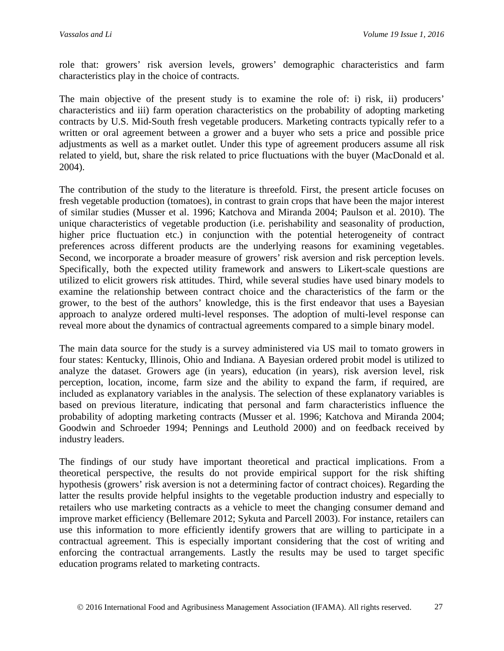role that: growers' risk aversion levels, growers' demographic characteristics and farm characteristics play in the choice of contracts.

The main objective of the present study is to examine the role of: i) risk, ii) producers' characteristics and iii) farm operation characteristics on the probability of adopting marketing contracts by U.S. Mid-South fresh vegetable producers. Marketing contracts typically refer to a written or oral agreement between a grower and a buyer who sets a price and possible price adjustments as well as a market outlet. Under this type of agreement producers assume all risk related to yield, but, share the risk related to price fluctuations with the buyer (MacDonald et al. 2004).

The contribution of the study to the literature is threefold. First, the present article focuses on fresh vegetable production (tomatoes), in contrast to grain crops that have been the major interest of similar studies (Musser et al. 1996; Katchova and Miranda 2004; Paulson et al. 2010). The unique characteristics of vegetable production (i.e. perishability and seasonality of production, higher price fluctuation etc.) in conjunction with the potential heterogeneity of contract preferences across different products are the underlying reasons for examining vegetables. Second, we incorporate a broader measure of growers' risk aversion and risk perception levels. Specifically, both the expected utility framework and answers to Likert-scale questions are utilized to elicit growers risk attitudes. Third, while several studies have used binary models to examine the relationship between contract choice and the characteristics of the farm or the grower, to the best of the authors' knowledge, this is the first endeavor that uses a Bayesian approach to analyze ordered multi-level responses. The adoption of multi-level response can reveal more about the dynamics of contractual agreements compared to a simple binary model.

The main data source for the study is a survey administered via US mail to tomato growers in four states: Kentucky, Illinois, Ohio and Indiana. A Bayesian ordered probit model is utilized to analyze the dataset. Growers age (in years), education (in years), risk aversion level, risk perception, location, income, farm size and the ability to expand the farm, if required, are included as explanatory variables in the analysis. The selection of these explanatory variables is based on previous literature, indicating that personal and farm characteristics influence the probability of adopting marketing contracts (Musser et al. 1996; Katchova and Miranda 2004; Goodwin and Schroeder 1994; Pennings and Leuthold 2000) and on feedback received by industry leaders.

The findings of our study have important theoretical and practical implications. From a theoretical perspective, the results do not provide empirical support for the risk shifting hypothesis (growers' risk aversion is not a determining factor of contract choices). Regarding the latter the results provide helpful insights to the vegetable production industry and especially to retailers who use marketing contracts as a vehicle to meet the changing consumer demand and improve market efficiency (Bellemare 2012; Sykuta and Parcell 2003). For instance, retailers can use this information to more efficiently identify growers that are willing to participate in a contractual agreement. This is especially important considering that the cost of writing and enforcing the contractual arrangements. Lastly the results may be used to target specific education programs related to marketing contracts.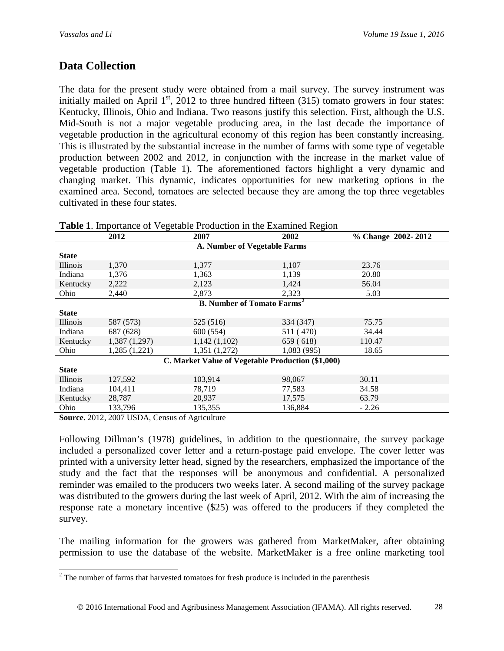# **Data Collection**

The data for the present study were obtained from a mail survey. The survey instrument was initially mailed on April  $1<sup>st</sup>$ , 2012 to three hundred fifteen (315) tomato growers in four states: Kentucky, Illinois, Ohio and Indiana. Two reasons justify this selection. First, although the U.S. Mid-South is not a major vegetable producing area, in the last decade the importance of vegetable production in the agricultural economy of this region has been constantly increasing. This is illustrated by the substantial increase in the number of farms with some type of vegetable production between 2002 and 2012, in conjunction with the increase in the market value of vegetable production (Table 1). The aforementioned factors highlight a very dynamic and changing market. This dynamic, indicates opportunities for new marketing options in the examined area. Second, tomatoes are selected because they are among the top three vegetables cultivated in these four states.

| <b>Table 1.</b> Importance of vegetable Production in the Examined Region |                              |              |            |                    |  |  |  |
|---------------------------------------------------------------------------|------------------------------|--------------|------------|--------------------|--|--|--|
|                                                                           | 2012                         | 2007         | 2002       | % Change 2002-2012 |  |  |  |
|                                                                           | A. Number of Vegetable Farms |              |            |                    |  |  |  |
| <b>State</b>                                                              |                              |              |            |                    |  |  |  |
| <b>Illinois</b>                                                           | 1,370                        | 1,377        | 1,107      | 23.76              |  |  |  |
| Indiana                                                                   | 1,376                        | 1,363        | 1.139      | 20.80              |  |  |  |
| Kentucky                                                                  | 2,222                        | 2,123        | 1,424      | 56.04              |  |  |  |
| Ohio                                                                      | 2,440                        | 2,873        | 2,323      | 5.03               |  |  |  |
| <b>B.</b> Number of Tomato Farms <sup>2</sup>                             |                              |              |            |                    |  |  |  |
| <b>State</b>                                                              |                              |              |            |                    |  |  |  |
| <i>Illinois</i>                                                           | 587 (573)                    | 525 (516)    | 334 (347)  | 75.75              |  |  |  |
| Indiana                                                                   | 687 (628)                    | 600 (554)    | 511 (470)  | 34.44              |  |  |  |
| Kentucky                                                                  | 1,387 (1,297)                | 1,142(1,102) | 659 (618)  | 110.47             |  |  |  |
| Ohio                                                                      | 1,285(1,221)                 | 1,351(1,272) | 1,083(995) | 18.65              |  |  |  |
| C. Market Value of Vegetable Production (\$1,000)                         |                              |              |            |                    |  |  |  |
| <b>State</b>                                                              |                              |              |            |                    |  |  |  |
| <i>Illinois</i>                                                           | 127,592                      | 103,914      | 98,067     | 30.11              |  |  |  |
| Indiana                                                                   | 104,411                      | 78,719       | 77,583     | 34.58              |  |  |  |
| Kentucky                                                                  | 28,787                       | 20,937       | 17.575     | 63.79              |  |  |  |
| Ohio                                                                      | 133,796                      | 135,355      | 136,884    | $-2.26$            |  |  |  |

**Table 1**. Importance of Vegetable Production in the Examined Region

**Source.** 2012, 2007 USDA, Census of Agriculture

Following Dillman's (1978) guidelines, in addition to the questionnaire, the survey package included a personalized cover letter and a return-postage paid envelope. The cover letter was printed with a university letter head, signed by the researchers, emphasized the importance of the study and the fact that the responses will be anonymous and confidential. A personalized reminder was emailed to the producers two weeks later. A second mailing of the survey package was distributed to the growers during the last week of April, 2012. With the aim of increasing the response rate a monetary incentive (\$25) was offered to the producers if they completed the survey.

The mailing information for the growers was gathered from MarketMaker, after obtaining permission to use the database of the website. MarketMaker is a free online marketing tool

<span id="page-3-0"></span> $2$  The number of farms that harvested tomatoes for fresh produce is included in the parenthesis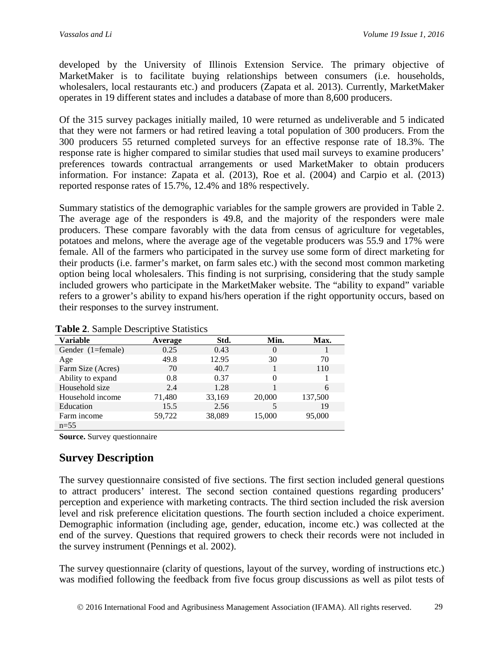developed by the University of Illinois Extension Service. The primary objective of MarketMaker is to facilitate buying relationships between consumers (i.e. households, wholesalers, local restaurants etc.) and producers (Zapata et al. 2013). Currently, MarketMaker operates in 19 different states and includes a database of more than 8,600 producers.

Of the 315 survey packages initially mailed, 10 were returned as undeliverable and 5 indicated that they were not farmers or had retired leaving a total population of 300 producers. From the 300 producers 55 returned completed surveys for an effective response rate of 18.3%. The response rate is higher compared to similar studies that used mail surveys to examine producers' preferences towards contractual arrangements or used MarketMaker to obtain producers information. For instance: Zapata et al. (2013), Roe et al. (2004) and Carpio et al. (2013) reported response rates of 15.7%, 12.4% and 18% respectively.

Summary statistics of the demographic variables for the sample growers are provided in Table 2. The average age of the responders is 49.8, and the majority of the responders were male producers. These compare favorably with the data from census of agriculture for vegetables, potatoes and melons, where the average age of the vegetable producers was 55.9 and 17% were female. All of the farmers who participated in the survey use some form of direct marketing for their products (i.e. farmer's market, on farm sales etc.) with the second most common marketing option being local wholesalers. This finding is not surprising, considering that the study sample included growers who participate in the MarketMaker website. The "ability to expand" variable refers to a grower's ability to expand his/hers operation if the right opportunity occurs, based on their responses to the survey instrument.

| <b>Variable</b>   | Average | Std.   | Min.     | Max.    |
|-------------------|---------|--------|----------|---------|
| Gender (1=female) | 0.25    | 0.43   | O        |         |
| Age               | 49.8    | 12.95  | 30       | 70      |
| Farm Size (Acres) | 70      | 40.7   |          | 110     |
| Ability to expand | 0.8     | 0.37   | $\Omega$ |         |
| Household size    | 2.4     | 1.28   |          | 6       |
| Household income  | 71,480  | 33,169 | 20,000   | 137,500 |
| Education         | 15.5    | 2.56   | 5        | 19      |
| Farm income       | 59,722  | 38,089 | 15,000   | 95,000  |
| $n=55$            |         |        |          |         |

**Table 2**. Sample Descriptive Statistics

**Source.** Survey questionnaire

# **Survey Description**

The survey questionnaire consisted of five sections. The first section included general questions to attract producers' interest. The second section contained questions regarding producers' perception and experience with marketing contracts. The third section included the risk aversion level and risk preference elicitation questions. The fourth section included a choice experiment. Demographic information (including age, gender, education, income etc.) was collected at the end of the survey. Questions that required growers to check their records were not included in the survey instrument (Pennings et al. 2002).

The survey questionnaire (clarity of questions, layout of the survey, wording of instructions etc.) was modified following the feedback from five focus group discussions as well as pilot tests of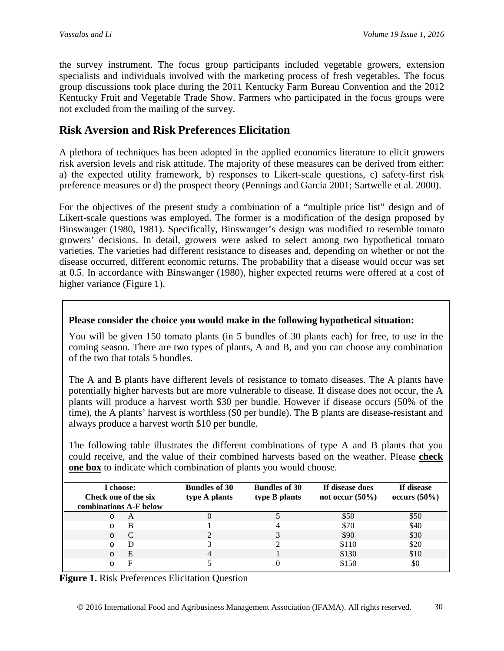the survey instrument. The focus group participants included vegetable growers, extension specialists and individuals involved with the marketing process of fresh vegetables. The focus group discussions took place during the 2011 Kentucky Farm Bureau Convention and the 2012 Kentucky Fruit and Vegetable Trade Show. Farmers who participated in the focus groups were not excluded from the mailing of the survey.

## **Risk Aversion and Risk Preferences Elicitation**

A plethora of techniques has been adopted in the applied economics literature to elicit growers risk aversion levels and risk attitude. The majority of these measures can be derived from either: a) the expected utility framework, b) responses to Likert-scale questions, c) safety-first risk preference measures or d) the prospect theory (Pennings and Garcia 2001; Sartwelle et al. 2000).

For the objectives of the present study a combination of a "multiple price list" design and of Likert-scale questions was employed. The former is a modification of the design proposed by Binswanger (1980, 1981). Specifically, Binswanger's design was modified to resemble tomato growers' decisions. In detail, growers were asked to select among two hypothetical tomato varieties. The varieties had different resistance to diseases and, depending on whether or not the disease occurred, different economic returns. The probability that a disease would occur was set at 0.5. In accordance with Binswanger (1980), higher expected returns were offered at a cost of higher variance (Figure 1).

### **Please consider the choice you would make in the following hypothetical situation:**

You will be given 150 tomato plants (in 5 bundles of 30 plants each) for free, to use in the coming season. There are two types of plants, A and B, and you can choose any combination of the two that totals 5 bundles.

The A and B plants have different levels of resistance to tomato diseases. The A plants have potentially higher harvests but are more vulnerable to disease. If disease does not occur, the A plants will produce a harvest worth \$30 per bundle. However if disease occurs (50% of the time), the A plants' harvest is worthless (\$0 per bundle). The B plants are disease-resistant and always produce a harvest worth \$10 per bundle.

The following table illustrates the different combinations of type A and B plants that you could receive, and the value of their combined harvests based on the weather. Please **check one box** to indicate which combination of plants you would choose.

| I choose:<br>Check one of the six<br>combinations A-F below |   | <b>Bundles of 30</b><br>type A plants | <b>Bundles of 30</b><br>type B plants | If disease does<br>not occur $(50\%)$ | If disease<br>occurs $(50\%)$ |
|-------------------------------------------------------------|---|---------------------------------------|---------------------------------------|---------------------------------------|-------------------------------|
| $\circ$                                                     | A |                                       |                                       | \$50                                  | \$50                          |
| $\Omega$                                                    | B |                                       |                                       | \$70                                  | \$40                          |
| $\circ$                                                     | C |                                       |                                       | \$90                                  | \$30                          |
| $\circ$                                                     | Ð |                                       |                                       | \$110                                 | \$20                          |
| $\circ$                                                     | E | 4                                     |                                       | \$130                                 | \$10                          |
| ∩                                                           | ۳ |                                       |                                       | \$150                                 | \$0                           |

**Figure 1.** Risk Preferences Elicitation Question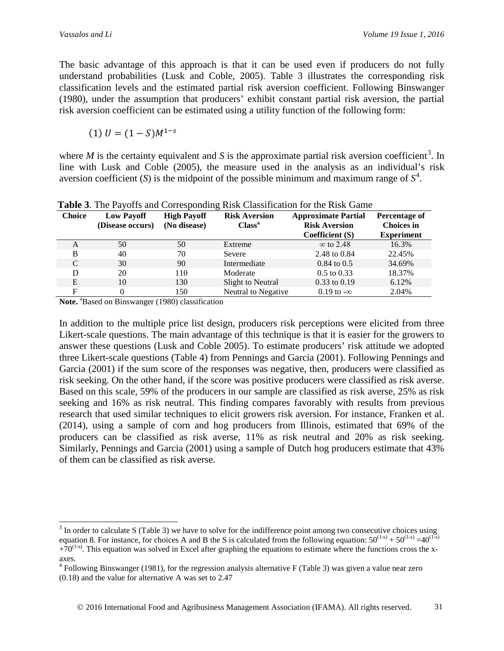The basic advantage of this approach is that it can be used even if producers do not fully understand probabilities (Lusk and Coble, 2005). Table 3 illustrates the corresponding risk classification levels and the estimated partial risk aversion coefficient. Following Binswanger (1980), under the assumption that producers' exhibit constant partial risk aversion, the partial risk aversion coefficient can be estimated using a utility function of the following form:

$$
(1) U = (1 - S)M^{1-s}
$$

where  $M$  is the certainty equivalent and  $S$  is the approximate partial risk aversion coefficient<sup>[3](#page-6-0)</sup>. In line with Lusk and Coble (2005), the measure used in the analysis as an individual's risk aversion coefficient  $(S)$  is the midpoint of the possible minimum and maximum range of  $S<sup>4</sup>$  $S<sup>4</sup>$  $S<sup>4</sup>$ .

| <b>Choice</b> | <b>Low Payoff</b><br>(Disease occurs) | <b>High Payoff</b><br>(No disease) | <b>Risk Aversion</b><br>Class <sup>a</sup> | <b>Approximate Partial</b><br><b>Risk Aversion</b><br>Coefficient (S) | Percentage of<br><b>Choices in</b><br><b>Experiment</b> |
|---------------|---------------------------------------|------------------------------------|--------------------------------------------|-----------------------------------------------------------------------|---------------------------------------------------------|
| A             | 50                                    | 50                                 | Extreme                                    | $\infty$ to 2.48                                                      | 16.3%                                                   |
| B             | 40                                    | 70                                 | Severe                                     | 2.48 to 0.84                                                          | 22.45%                                                  |
| C             | 30                                    | 90                                 | Intermediate                               | $0.84$ to $0.5$                                                       | 34.69%                                                  |
| D             | 20                                    | 110                                | Moderate                                   | $0.5$ to $0.33$                                                       | 18.37%                                                  |
| E             | 10                                    | 130                                | Slight to Neutral                          | $0.33$ to $0.19$                                                      | 6.12%                                                   |
| F             | 0                                     | 150                                | Neutral to Negative                        | $0.19$ to $-\infty$                                                   | 2.04%                                                   |

**Table 3**. The Payoffs and Corresponding Risk Classification for the Risk Game

Note. <sup>a</sup>Based on Binswanger (1980) classification

In addition to the multiple price list design, producers risk perceptions were elicited from three Likert-scale questions. The main advantage of this technique is that it is easier for the growers to answer these questions (Lusk and Coble 2005). To estimate producers' risk attitude we adopted three Likert-scale questions (Table 4) from Pennings and Garcia (2001). Following Pennings and Garcia (2001) if the sum score of the responses was negative, then, producers were classified as risk seeking. On the other hand, if the score was positive producers were classified as risk averse. Based on this scale, 59% of the producers in our sample are classified as risk averse, 25% as risk seeking and 16% as risk neutral. This finding compares favorably with results from previous research that used similar techniques to elicit growers risk aversion. For instance, Franken et al. (2014), using a sample of corn and hog producers from Illinois, estimated that 69% of the producers can be classified as risk averse, 11% as risk neutral and 20% as risk seeking. Similarly, Pennings and Garcia (2001) using a sample of Dutch hog producers estimate that 43% of them can be classified as risk averse.

<span id="page-6-0"></span><sup>&</sup>lt;sup>3</sup> In order to calculate S (Table 3) we have to solve for the indifference point among two consecutive choices using equation 8. For instance, for choices A and B the S is calculated from the following equation:  $50^{(1-s)} + 50^{(1-s)} = 40^{(1-s)}$  $+70^{(1-s)}$ . This equation was solved in Excel after graphing the equations to estimate where the functions cross the xaxes.

<span id="page-6-1"></span><sup>4</sup> Following Binswanger (1981), for the regression analysis alternative F (Table 3) was given a value near zero (0.18) and the value for alternative A was set to 2.47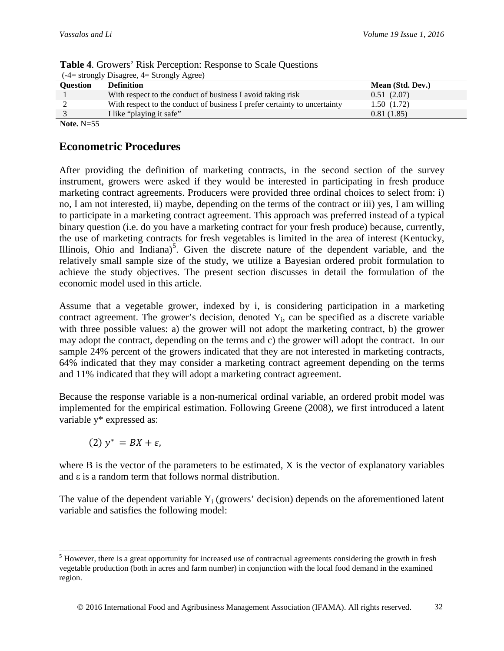| $(-4=$ strongly Disagree, $4=$ Strongly Agree) |                                                                           |                  |  |  |  |
|------------------------------------------------|---------------------------------------------------------------------------|------------------|--|--|--|
| Ouestion                                       | <b>Definition</b>                                                         | Mean (Std. Dev.) |  |  |  |
|                                                | With respect to the conduct of business I avoid taking risk               | 0.51(2.07)       |  |  |  |
|                                                | With respect to the conduct of business I prefer certainty to uncertainty | 1.50(1.72)       |  |  |  |
|                                                | I like "playing it safe"                                                  | 0.81(1.85)       |  |  |  |
| _ _ _ _ _                                      |                                                                           |                  |  |  |  |

| <b>Table 4.</b> Growers' Risk Perception: Response to Scale Questions |
|-----------------------------------------------------------------------|
| $(-4=$ strongly Disagree, $4=$ Strongly Agree)                        |

**Note.** N=55

## **Econometric Procedures**

After providing the definition of marketing contracts, in the second section of the survey instrument, growers were asked if they would be interested in participating in fresh produce marketing contract agreements. Producers were provided three ordinal choices to select from: i) no, I am not interested, ii) maybe, depending on the terms of the contract or iii) yes, I am willing to participate in a marketing contract agreement. This approach was preferred instead of a typical binary question (i.e. do you have a marketing contract for your fresh produce) because, currently, the use of marketing contracts for fresh vegetables is limited in the area of interest (Kentucky, Illinois, Ohio and Indiana)<sup>[5](#page-7-0)</sup>. Given the discrete nature of the dependent variable, and the relatively small sample size of the study, we utilize a Bayesian ordered probit formulation to achieve the study objectives. The present section discusses in detail the formulation of the economic model used in this article.

Assume that a vegetable grower, indexed by i, is considering participation in a marketing contract agreement. The grower's decision, denoted  $Y_i$ , can be specified as a discrete variable with three possible values: a) the grower will not adopt the marketing contract, b) the grower may adopt the contract, depending on the terms and c) the grower will adopt the contract. In our sample 24% percent of the growers indicated that they are not interested in marketing contracts, 64% indicated that they may consider a marketing contract agreement depending on the terms and 11% indicated that they will adopt a marketing contract agreement.

Because the response variable is a non-numerical ordinal variable, an ordered probit model was implemented for the empirical estimation. Following Greene (2008), we first introduced a latent variable y\* expressed as:

$$
(2) y^* = BX + \varepsilon,
$$

where B is the vector of the parameters to be estimated, X is the vector of explanatory variables and ε is a random term that follows normal distribution.

The value of the dependent variable  $Y_i$  (growers' decision) depends on the aforementioned latent variable and satisfies the following model:

<span id="page-7-0"></span> $<sup>5</sup>$  However, there is a great opportunity for increased use of contractual agreements considering the growth in fresh</sup> vegetable production (both in acres and farm number) in conjunction with the local food demand in the examined region.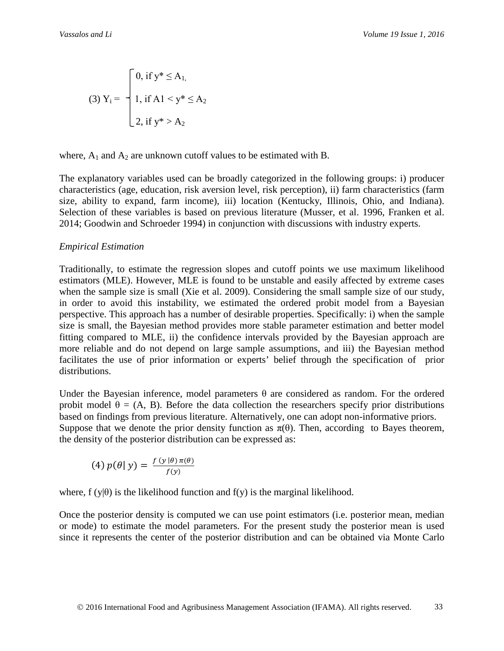(3) 
$$
Y_i = \begin{cases} 0, & \text{if } y^* \le A_1, \\ 1, & \text{if } A_1 < y^* \le A_2 \\ 2, & \text{if } y^* > A_2 \end{cases}
$$

where,  $A_1$  and  $A_2$  are unknown cutoff values to be estimated with B.

The explanatory variables used can be broadly categorized in the following groups: i) producer characteristics (age, education, risk aversion level, risk perception), ii) farm characteristics (farm size, ability to expand, farm income), iii) location (Kentucky, Illinois, Ohio, and Indiana). Selection of these variables is based on previous literature (Musser, et al. 1996, Franken et al. 2014; Goodwin and Schroeder 1994) in conjunction with discussions with industry experts.

### *Empirical Estimation*

Traditionally, to estimate the regression slopes and cutoff points we use maximum likelihood estimators (MLE). However, MLE is found to be unstable and easily affected by extreme cases when the sample size is small (Xie et al. 2009). Considering the small sample size of our study, in order to avoid this instability, we estimated the ordered probit model from a Bayesian perspective. This approach has a number of desirable properties. Specifically: i) when the sample size is small, the Bayesian method provides more stable parameter estimation and better model fitting compared to MLE, ii) the confidence intervals provided by the Bayesian approach are more reliable and do not depend on large sample assumptions, and iii) the Bayesian method facilitates the use of prior information or experts' belief through the specification of prior distributions.

Under the Bayesian inference, model parameters  $\theta$  are considered as random. For the ordered probit model  $\theta = (A, B)$ . Before the data collection the researchers specify prior distributions based on findings from previous literature. Alternatively, one can adopt non-informative priors. Suppose that we denote the prior density function as  $\pi(\theta)$ . Then, according to Bayes theorem, the density of the posterior distribution can be expressed as:

$$
(4) p(\theta | y) = \frac{f(y | \theta) \pi(\theta)}{f(y)}
$$

where,  $f(y|\theta)$  is the likelihood function and  $f(y)$  is the marginal likelihood.

Once the posterior density is computed we can use point estimators (i.e. posterior mean, median or mode) to estimate the model parameters. For the present study the posterior mean is used since it represents the center of the posterior distribution and can be obtained via Monte Carlo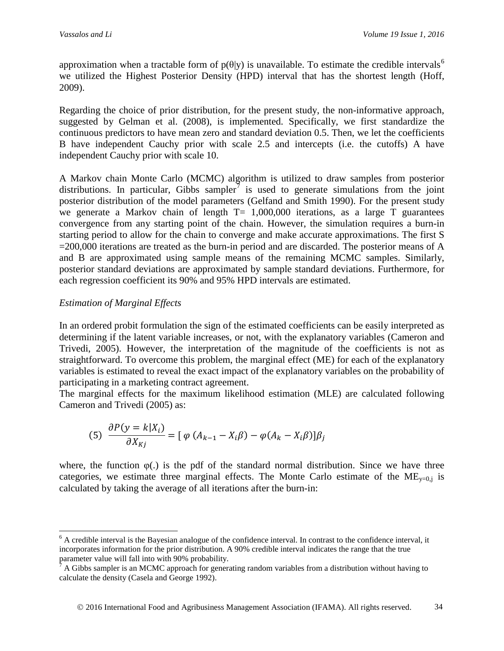approximation when a tractable form of  $p(\theta|y)$  is unavailable. To estimate the credible intervals<sup>[6](#page-9-0)</sup> we utilized the Highest Posterior Density (HPD) interval that has the shortest length (Hoff, 2009).

Regarding the choice of prior distribution, for the present study, the non-informative approach, suggested by Gelman et al. (2008), is implemented. Specifically, we first standardize the continuous predictors to have mean zero and standard deviation 0.5. Then, we let the coefficients B have independent Cauchy prior with scale 2.5 and intercepts (i.e. the cutoffs) A have independent Cauchy prior with scale 10.

A Markov chain Monte Carlo (MCMC) algorithm is utilized to draw samples from posterior distributions. In particular, Gibbs sampler<sup>[7](#page-9-1)</sup> is used to generate simulations from the joint posterior distribution of the model parameters (Gelfand and Smith 1990). For the present study we generate a Markov chain of length T= 1,000,000 iterations, as a large T guarantees convergence from any starting point of the chain. However, the simulation requires a burn-in starting period to allow for the chain to converge and make accurate approximations. The first S =200,000 iterations are treated as the burn-in period and are discarded. The posterior means of A and B are approximated using sample means of the remaining MCMC samples. Similarly, posterior standard deviations are approximated by sample standard deviations. Furthermore, for each regression coefficient its 90% and 95% HPD intervals are estimated.

## *Estimation of Marginal Effects*

In an ordered probit formulation the sign of the estimated coefficients can be easily interpreted as determining if the latent variable increases, or not, with the explanatory variables (Cameron and Trivedi, 2005). However, the interpretation of the magnitude of the coefficients is not as straightforward. To overcome this problem, the marginal effect (ME) for each of the explanatory variables is estimated to reveal the exact impact of the explanatory variables on the probability of participating in a marketing contract agreement.

The marginal effects for the maximum likelihood estimation (MLE) are calculated following Cameron and Trivedi (2005) as:

(5) 
$$
\frac{\partial P(y = k | X_i)}{\partial X_{Kj}} = [\varphi (A_{k-1} - X_i \beta) - \varphi (A_k - X_i \beta)] \beta_j
$$

where, the function  $\varphi$ (.) is the pdf of the standard normal distribution. Since we have three categories, we estimate three marginal effects. The Monte Carlo estimate of the  $ME_{v=0,i}$  is calculated by taking the average of all iterations after the burn-in:

<span id="page-9-0"></span> $6$  A credible interval is the Bayesian analogue of the confidence interval. In contrast to the confidence interval, it incorporates information for the prior distribution. A 90% credible interval indicates the range that the true parameter value will fall into with 90% probability.

<span id="page-9-1"></span> $\beta$  A Gibbs sampler is an MCMC approach for generating random variables from a distribution without having to calculate the density (Casela and George 1992).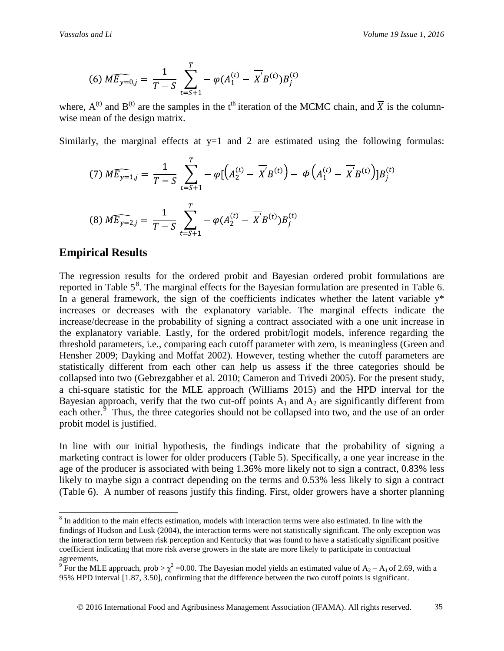(6) 
$$
\widehat{ME_{y=0,j}} = \frac{1}{T-S} \sum_{t=S+1}^{T} -\varphi(A_1^{(t)} - \overline{X}B^{(t)})B_j^{(t)}
$$

where,  $A^{(t)}$  and  $B^{(t)}$  are the samples in the t<sup>th</sup> iteration of the MCMC chain, and  $\overline{X}$  is the columnwise mean of the design matrix.

Similarly, the marginal effects at  $y=1$  and 2 are estimated using the following formulas:

(7) 
$$
\widehat{ME_{y=1,j}} = \frac{1}{T-S} \sum_{t=S+1}^{T} -\varphi \left[ \left( A_2^{(t)} - \overline{X} B^{(t)} \right) - \varphi \left( A_1^{(t)} - \overline{X} B^{(t)} \right) \right] B_j^{(t)}
$$
  
(8)  $\widehat{ME_{y=2,j}} = \frac{1}{T-S} \sum_{t=S+1}^{T} -\varphi \left( A_2^{(t)} - \overline{X} B^{(t)} \right) B_j^{(t)}$ 

### **Empirical Results**

The regression results for the ordered probit and Bayesian ordered probit formulations are reported in Table  $5^8$  $5^8$ . The marginal effects for the Bayesian formulation are presented in Table 6. In a general framework, the sign of the coefficients indicates whether the latent variable  $y^*$ increases or decreases with the explanatory variable. The marginal effects indicate the increase/decrease in the probability of signing a contract associated with a one unit increase in the explanatory variable. Lastly, for the ordered probit/logit models, inference regarding the threshold parameters, i.e., comparing each cutoff parameter with zero, is meaningless (Green and Hensher 2009; Dayking and Moffat 2002). However, testing whether the cutoff parameters are statistically different from each other can help us assess if the three categories should be collapsed into two (Gebrezgabher et al. 2010; Cameron and Trivedi 2005). For the present study, a chi-square statistic for the MLE approach (Williams 2015) and the HPD interval for the Bayesian approach, verify that the two cut-off points  $A_1$  and  $A_2$  are significantly different from each other.<sup>[9](#page-10-1)</sup> Thus, the three categories should not be collapsed into two, and the use of an order probit model is justified.

In line with our initial hypothesis, the findings indicate that the probability of signing a marketing contract is lower for older producers (Table 5). Specifically, a one year increase in the age of the producer is associated with being 1.36% more likely not to sign a contract, 0.83% less likely to maybe sign a contract depending on the terms and 0.53% less likely to sign a contract (Table 6). A number of reasons justify this finding. First, older growers have a shorter planning

<span id="page-10-0"></span><sup>&</sup>lt;sup>8</sup> In addition to the main effects estimation, models with interaction terms were also estimated. In line with the findings of Hudson and Lusk (2004), the interaction terms were not statistically significant. The only exception was the interaction term between risk perception and Kentucky that was found to have a statistically significant positive coefficient indicating that more risk averse growers in the state are more likely to participate in contractual agreements.

<span id="page-10-1"></span><sup>&</sup>lt;sup>9</sup> For the MLE approach, prob  $>\chi^2$  =0.00. The Bayesian model yields an estimated value of A<sub>2</sub> – A<sub>1</sub> of 2.69, with a 95% HPD interval [1.87, 3.50], confirming that the difference between the two cutoff points is significant.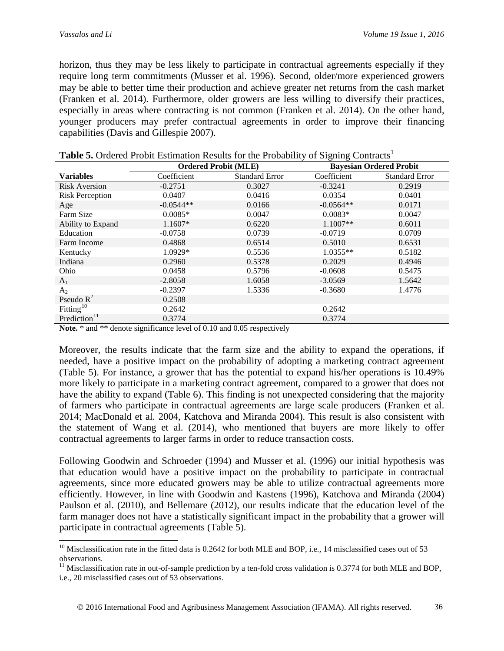horizon, thus they may be less likely to participate in contractual agreements especially if they require long term commitments (Musser et al. 1996). Second, older/more experienced growers may be able to better time their production and achieve greater net returns from the cash market (Franken et al. 2014). Furthermore, older growers are less willing to diversify their practices, especially in areas where contracting is not common (Franken et al. 2014). On the other hand, younger producers may prefer contractual agreements in order to improve their financing capabilities (Davis and Gillespie 2007).

|                          | <b>Ordered Probit (MLE)</b> |                       | <b>Bayesian Ordered Probit</b> |                       |
|--------------------------|-----------------------------|-----------------------|--------------------------------|-----------------------|
| <b>Variables</b>         | Coefficient                 | <b>Standard Error</b> | Coefficient                    | <b>Standard Error</b> |
| <b>Risk Aversion</b>     | $-0.2751$                   | 0.3027                | $-0.3241$                      | 0.2919                |
| <b>Risk Perception</b>   | 0.0407                      | 0.0416                | 0.0354                         | 0.0401                |
| Age                      | $-0.0544**$                 | 0.0166                | $-0.0564**$                    | 0.0171                |
| Farm Size                | $0.0085*$                   | 0.0047                | $0.0083*$                      | 0.0047                |
| Ability to Expand        | $1.1607*$                   | 0.6220                | $1.1007**$                     | 0.6011                |
| Education                | $-0.0758$                   | 0.0739                | $-0.0719$                      | 0.0709                |
| Farm Income              | 0.4868                      | 0.6514                | 0.5010                         | 0.6531                |
| Kentucky                 | 1.0929*                     | 0.5536                | $1.0355**$                     | 0.5182                |
| Indiana                  | 0.2960                      | 0.5378                | 0.2029                         | 0.4946                |
| Ohio                     | 0.0458                      | 0.5796                | $-0.0608$                      | 0.5475                |
| A <sub>1</sub>           | $-2.8058$                   | 1.6058                | $-3.0569$                      | 1.5642                |
| $A_2$                    | $-0.2397$                   | 1.5336                | $-0.3680$                      | 1.4776                |
| Pseudo $R^2$             | 0.2508                      |                       |                                |                       |
| Fitting <sup>10</sup>    | 0.2642                      |                       | 0.2642                         |                       |
| Prediction <sup>11</sup> | 0.3774                      |                       | 0.3774                         |                       |

|  |  | <b>Table 5.</b> Ordered Probit Estimation Results for the Probability of Signing Contracts <sup>1</sup> |
|--|--|---------------------------------------------------------------------------------------------------------|
|--|--|---------------------------------------------------------------------------------------------------------|

Note.  $*$  and  $**$  denote significance level of 0.10 and 0.05 respectively

Moreover, the results indicate that the farm size and the ability to expand the operations, if needed, have a positive impact on the probability of adopting a marketing contract agreement (Table 5). For instance, a grower that has the potential to expand his/her operations is 10.49% more likely to participate in a marketing contract agreement, compared to a grower that does not have the ability to expand (Table 6). This finding is not unexpected considering that the majority of farmers who participate in contractual agreements are large scale producers (Franken et al. 2014; MacDonald et al. 2004, Katchova and Miranda 2004). This result is also consistent with the statement of Wang et al. (2014), who mentioned that buyers are more likely to offer contractual agreements to larger farms in order to reduce transaction costs.

Following Goodwin and Schroeder (1994) and Musser et al. (1996) our initial hypothesis was that education would have a positive impact on the probability to participate in contractual agreements, since more educated growers may be able to utilize contractual agreements more efficiently. However, in line with Goodwin and Kastens (1996), Katchova and Miranda (2004) Paulson et al. (2010), and Bellemare (2012), our results indicate that the education level of the farm manager does not have a statistically significant impact in the probability that a grower will participate in contractual agreements (Table 5).

<span id="page-11-0"></span> $10$  Misclassification rate in the fitted data is 0.2642 for both MLE and BOP, i.e., 14 misclassified cases out of 53 observations.

<span id="page-11-1"></span> $11$  Misclassification rate in out-of-sample prediction by a ten-fold cross validation is 0.3774 for both MLE and BOP, i.e., 20 misclassified cases out of 53 observations.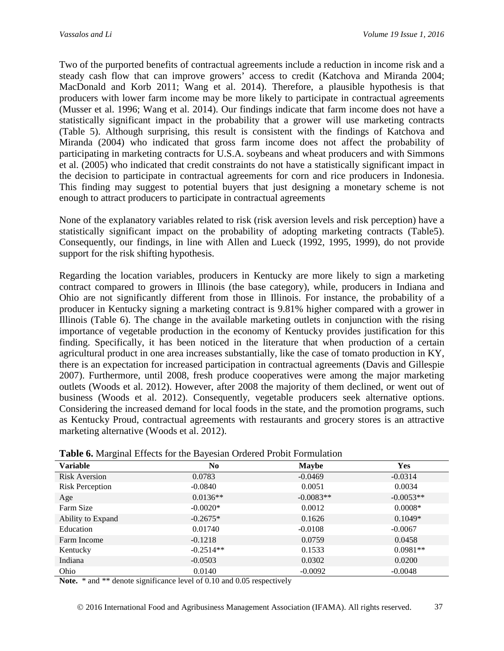Two of the purported benefits of contractual agreements include a reduction in income risk and a steady cash flow that can improve growers' access to credit (Katchova and Miranda 2004; MacDonald and Korb 2011; Wang et al. 2014). Therefore, a plausible hypothesis is that producers with lower farm income may be more likely to participate in contractual agreements (Musser et al. 1996; Wang et al. 2014). Our findings indicate that farm income does not have a statistically significant impact in the probability that a grower will use marketing contracts (Table 5). Although surprising, this result is consistent with the findings of Katchova and Miranda (2004) who indicated that gross farm income does not affect the probability of participating in marketing contracts for U.S.A. soybeans and wheat producers and with Simmons et al. (2005) who indicated that credit constraints do not have a statistically significant impact in the decision to participate in contractual agreements for corn and rice producers in Indonesia. This finding may suggest to potential buyers that just designing a monetary scheme is not enough to attract producers to participate in contractual agreements

None of the explanatory variables related to risk (risk aversion levels and risk perception) have a statistically significant impact on the probability of adopting marketing contracts (Table5). Consequently, our findings, in line with Allen and Lueck (1992, 1995, 1999), do not provide support for the risk shifting hypothesis.

Regarding the location variables, producers in Kentucky are more likely to sign a marketing contract compared to growers in Illinois (the base category), while, producers in Indiana and Ohio are not significantly different from those in Illinois. For instance, the probability of a producer in Kentucky signing a marketing contract is 9.81% higher compared with a grower in Illinois (Table 6). The change in the available marketing outlets in conjunction with the rising importance of vegetable production in the economy of Kentucky provides justification for this finding. Specifically, it has been noticed in the literature that when production of a certain agricultural product in one area increases substantially, like the case of tomato production in KY, there is an expectation for increased participation in contractual agreements (Davis and Gillespie 2007). Furthermore, until 2008, fresh produce cooperatives were among the major marketing outlets (Woods et al. 2012). However, after 2008 the majority of them declined, or went out of business (Woods et al. 2012). Consequently, vegetable producers seek alternative options. Considering the increased demand for local foods in the state, and the promotion programs, such as Kentucky Proud, contractual agreements with restaurants and grocery stores is an attractive marketing alternative (Woods et al. 2012).

| Č<br><b>Variable</b>   | N <sub>0</sub> | <b>Maybe</b> | <b>Yes</b>  |
|------------------------|----------------|--------------|-------------|
| <b>Risk Aversion</b>   | 0.0783         | $-0.0469$    | $-0.0314$   |
| <b>Risk Perception</b> | $-0.0840$      | 0.0051       | 0.0034      |
| Age                    | $0.0136**$     | $-0.0083**$  | $-0.0053**$ |
| Farm Size              | $-0.0020*$     | 0.0012       | $0.0008*$   |
| Ability to Expand      | $-0.2675*$     | 0.1626       | $0.1049*$   |
| Education              | 0.01740        | $-0.0108$    | $-0.0067$   |
| Farm Income            | $-0.1218$      | 0.0759       | 0.0458      |
| Kentucky               | $-0.2514**$    | 0.1533       | $0.0981**$  |
| Indiana                | $-0.0503$      | 0.0302       | 0.0200      |
| Ohio                   | 0.0140         | $-0.0092$    | $-0.0048$   |

**Table 6.** Marginal Effects for the Bayesian Ordered Probit Formulation

Note.  $*$  and  $**$  denote significance level of 0.10 and 0.05 respectively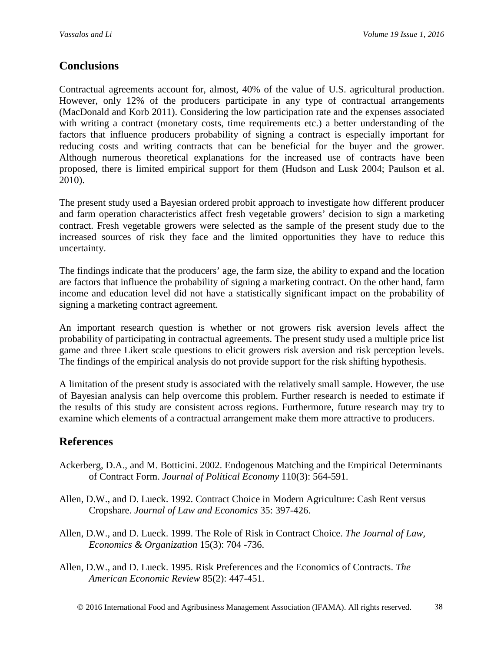# **Conclusions**

Contractual agreements account for, almost, 40% of the value of U.S. agricultural production. However, only 12% of the producers participate in any type of contractual arrangements (MacDonald and Korb 2011). Considering the low participation rate and the expenses associated with writing a contract (monetary costs, time requirements etc.) a better understanding of the factors that influence producers probability of signing a contract is especially important for reducing costs and writing contracts that can be beneficial for the buyer and the grower. Although numerous theoretical explanations for the increased use of contracts have been proposed, there is limited empirical support for them (Hudson and Lusk 2004; Paulson et al. 2010).

The present study used a Bayesian ordered probit approach to investigate how different producer and farm operation characteristics affect fresh vegetable growers' decision to sign a marketing contract. Fresh vegetable growers were selected as the sample of the present study due to the increased sources of risk they face and the limited opportunities they have to reduce this uncertainty.

The findings indicate that the producers' age, the farm size, the ability to expand and the location are factors that influence the probability of signing a marketing contract. On the other hand, farm income and education level did not have a statistically significant impact on the probability of signing a marketing contract agreement.

An important research question is whether or not growers risk aversion levels affect the probability of participating in contractual agreements. The present study used a multiple price list game and three Likert scale questions to elicit growers risk aversion and risk perception levels. The findings of the empirical analysis do not provide support for the risk shifting hypothesis.

A limitation of the present study is associated with the relatively small sample. However, the use of Bayesian analysis can help overcome this problem. Further research is needed to estimate if the results of this study are consistent across regions. Furthermore, future research may try to examine which elements of a contractual arrangement make them more attractive to producers.

## **References**

- Ackerberg, D.A., and M. Botticini. 2002. Endogenous Matching and the Empirical Determinants of Contract Form. *Journal of Political Economy* 110(3): 564-591.
- Allen, D.W., and D. Lueck. 1992. Contract Choice in Modern Agriculture: Cash Rent versus Cropshare. *Journal of Law and Economics* 35: 397-426.
- Allen, D.W., and D. Lueck. 1999. The Role of Risk in Contract Choice. *The Journal of Law, Economics & Organization* 15(3): 704 -736.
- Allen, D.W., and D. Lueck. 1995. Risk Preferences and the Economics of Contracts. *The American Economic Review* 85(2): 447-451.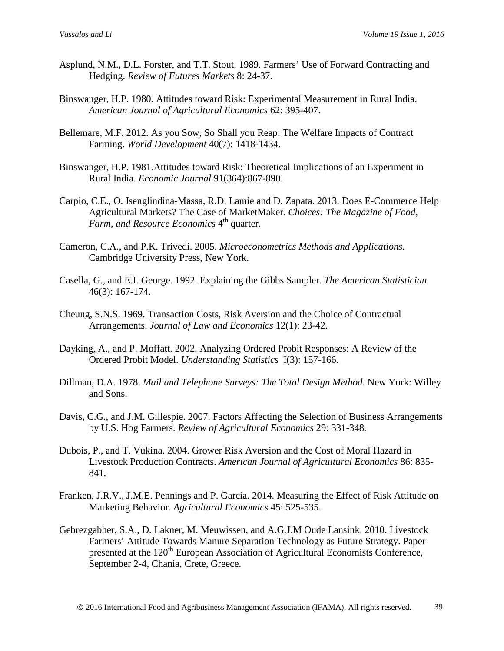- Asplund, N.M., D.L. Forster, and T.T. Stout. 1989. Farmers' Use of Forward Contracting and Hedging. *Review of Futures Markets* 8: 24-37.
- Binswanger, H.P. 1980. Attitudes toward Risk: Experimental Measurement in Rural India. *American Journal of Agricultural Economics* 62: 395-407.
- Bellemare, M.F. 2012. As you Sow, So Shall you Reap: The Welfare Impacts of Contract Farming. *World Development* 40(7): 1418-1434.
- Binswanger, H.P. 1981.Attitudes toward Risk: Theoretical Implications of an Experiment in Rural India. *Economic Journal* 91(364):867-890.
- Carpio, C.E., O. Isenglindina-Massa, R.D. Lamie and D. Zapata. 2013. Does E-Commerce Help Agricultural Markets? The Case of MarketMaker. *Choices: The Magazine of Food, Farm, and Resource Economics* 4<sup>th</sup> quarter.
- Cameron, C.A., and P.K. Trivedi. 2005. *Microeconometrics Methods and Applications.*  Cambridge University Press, New York.
- Casella, G., and E.I. George. 1992. Explaining the Gibbs Sampler. *The American Statistician*  46(3): 167-174.
- Cheung, S.N.S. 1969. Transaction Costs, Risk Aversion and the Choice of Contractual Arrangements. *Journal of Law and Economics* 12(1): 23-42.
- Dayking, A., and P. Moffatt. 2002. Analyzing Ordered Probit Responses: A Review of the Ordered Probit Model. *Understanding Statistics* I(3): 157-166.
- Dillman, D.A. 1978. *Mail and Telephone Surveys: The Total Design Method.* New York: Willey and Sons.
- Davis, C.G., and J.M. Gillespie. 2007. Factors Affecting the Selection of Business Arrangements by U.S. Hog Farmers. *Review of Agricultural Economics* 29: 331-348.
- Dubois, P., and T. Vukina. 2004. Grower Risk Aversion and the Cost of Moral Hazard in Livestock Production Contracts. *American Journal of Agricultural Economics* 86: 835- 841.
- Franken, J.R.V., J.M.E. Pennings and P. Garcia. 2014. Measuring the Effect of Risk Attitude on Marketing Behavior. *Agricultural Economics* 45: 525-535.
- Gebrezgabher, S.A., D. Lakner, M. Meuwissen, and A.G.J.M Oude Lansink. 2010. Livestock Farmers' Attitude Towards Manure Separation Technology as Future Strategy. Paper presented at the 120<sup>th</sup> European Association of Agricultural Economists Conference, September 2-4, Chania, Crete, Greece.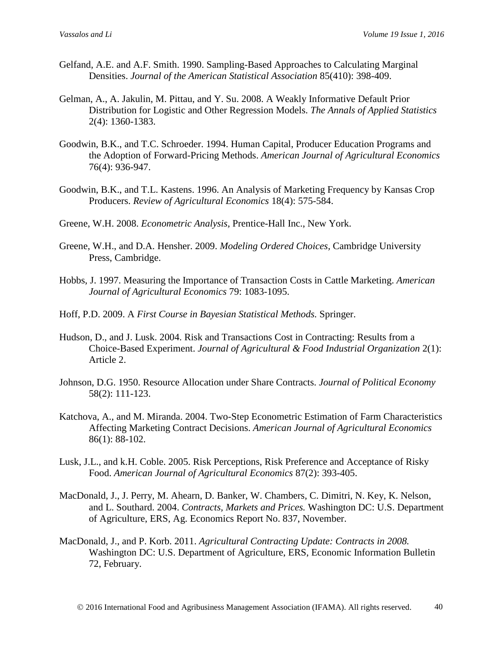- Gelfand, A.E. and A.F. Smith. 1990. Sampling-Based Approaches to Calculating Marginal Densities. *Journal of the American Statistical Association* 85(410): 398-409.
- Gelman, A., A. Jakulin, M. Pittau, and Y. Su. 2008. A Weakly Informative Default Prior Distribution for Logistic and Other Regression Models. *The Annals of Applied Statistics* 2(4): 1360-1383.
- Goodwin, B.K., and T.C. Schroeder. 1994. Human Capital, Producer Education Programs and the Adoption of Forward-Pricing Methods. *American Journal of Agricultural Economics* 76(4): 936-947.
- Goodwin, B.K., and T.L. Kastens. 1996. An Analysis of Marketing Frequency by Kansas Crop Producers. *Review of Agricultural Economics* 18(4): 575-584.
- Greene, W.H. 2008. *Econometric Analysis,* Prentice-Hall Inc., New York.
- Greene, W.H., and D.A. Hensher. 2009. *Modeling Ordered Choices,* Cambridge University Press, Cambridge.
- Hobbs, J. 1997. Measuring the Importance of Transaction Costs in Cattle Marketing. *American Journal of Agricultural Economics* 79: 1083-1095.
- Hoff, P.D. 2009. A *First Course in Bayesian Statistical Methods.* Springer.
- Hudson, D., and J. Lusk. 2004. Risk and Transactions Cost in Contracting: Results from a Choice-Based Experiment. *Journal of Agricultural & Food Industrial Organization* 2(1): Article 2.
- Johnson, D.G. 1950. Resource Allocation under Share Contracts. *Journal of Political Economy* 58(2): 111-123.
- Katchova, A., and M. Miranda. 2004. Two-Step Econometric Estimation of Farm Characteristics Affecting Marketing Contract Decisions. *American Journal of Agricultural Economics* 86(1): 88-102.
- Lusk, J.L., and k.H. Coble. 2005. Risk Perceptions, Risk Preference and Acceptance of Risky Food. *American Journal of Agricultural Economics* 87(2): 393-405.
- MacDonald, J., J. Perry, M. Ahearn, D. Banker, W. Chambers, C. Dimitri, N. Key, K. Nelson, and L. Southard. 2004. *Contracts, Markets and Prices.* Washington DC: U.S. Department of Agriculture, ERS, Ag. Economics Report No. 837, November.
- MacDonald, J., and P. Korb. 2011. *Agricultural Contracting Update: Contracts in 2008.* Washington DC: U.S. Department of Agriculture, ERS, Economic Information Bulletin 72, February.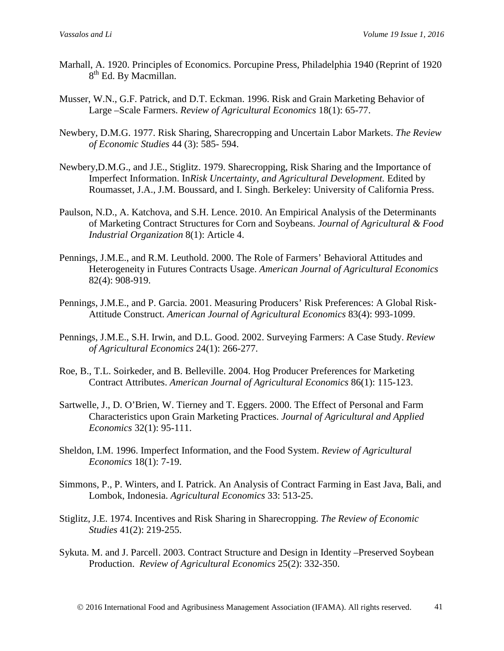- Marhall, A. 1920. Principles of Economics. Porcupine Press, Philadelphia 1940 (Reprint of 1920 8<sup>th</sup> Ed. By Macmillan.
- Musser, W.N., G.F. Patrick, and D.T. Eckman. 1996. Risk and Grain Marketing Behavior of Large –Scale Farmers. *Review of Agricultural Economics* 18(1): 65-77.
- Newbery, D.M.G. 1977. Risk Sharing, Sharecropping and Uncertain Labor Markets. *The Review of Economic Studies* 44 (3): 585- 594.
- Newbery,D.M.G., and J.E., Stiglitz. 1979. Sharecropping, Risk Sharing and the Importance of Imperfect Information. In*Risk Uncertainty, and Agricultural Development.* Edited by Roumasset, J.A., J.M. Boussard, and I. Singh. Berkeley: University of California Press.
- Paulson, N.D., A. Katchova, and S.H. Lence. 2010. An Empirical Analysis of the Determinants of Marketing Contract Structures for Corn and Soybeans. *Journal of Agricultural & Food Industrial Organization* 8(1): Article 4.
- Pennings, J.M.E., and R.M. Leuthold. 2000. The Role of Farmers' Behavioral Attitudes and Heterogeneity in Futures Contracts Usage. *American Journal of Agricultural Economics* 82(4): 908-919.
- Pennings, J.M.E., and P. Garcia. 2001. Measuring Producers' Risk Preferences: A Global Risk-Attitude Construct. *American Journal of Agricultural Economics* 83(4): 993-1099.
- Pennings, J.M.E., S.H. Irwin, and D.L. Good. 2002. Surveying Farmers: A Case Study. *Review of Agricultural Economics* 24(1): 266-277.
- Roe, B., T.L. Soirkeder, and B. Belleville. 2004. Hog Producer Preferences for Marketing Contract Attributes. *American Journal of Agricultural Economics* 86(1): 115-123.
- Sartwelle, J., D. O'Brien, W. Tierney and T. Eggers. 2000. The Effect of Personal and Farm Characteristics upon Grain Marketing Practices. *Journal of Agricultural and Applied Economics* 32(1): 95-111.
- Sheldon, I.M. 1996. Imperfect Information, and the Food System. *Review of Agricultural Economics* 18(1): 7-19.
- Simmons, P., P. Winters, and I. Patrick. An Analysis of Contract Farming in East Java, Bali, and Lombok, Indonesia. *Agricultural Economics* 33: 513-25.
- Stiglitz, J.E. 1974. Incentives and Risk Sharing in Sharecropping. *The Review of Economic Studies* 41(2): 219-255.
- Sykuta. M. and J. Parcell. 2003. Contract Structure and Design in Identity –Preserved Soybean Production. *Review of Agricultural Economics* 25(2): 332-350.